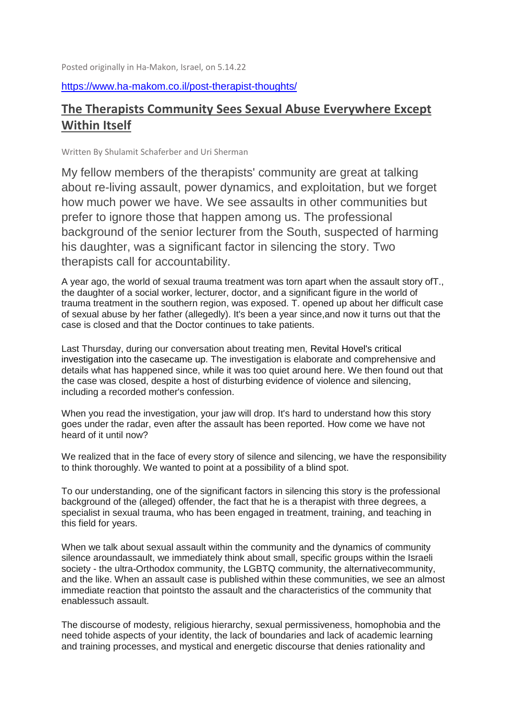Posted originally in Ha-Makon, Israel, on 5.14.22

## <https://www.ha-makom.co.il/post-therapist-thoughts/>

## **The Therapists Community Sees Sexual Abuse Everywhere Except Within Itself**

Written By Shulamit Schaferber and Uri Sherman

My fellow members of the therapists' community are great at talking about re-living assault, power dynamics, and exploitation, but we forget how much power we have. We see assaults in other communities but prefer to ignore those that happen among us. The professional background of the senior lecturer from the South, suspected of harming his daughter, was a significant factor in silencing the story. Two therapists call for accountability.

A year ago, the world of sexual trauma treatment was torn apart when the assault story ofT., the daughter of a social worker, lecturer, doctor, and a significant figure in the world of trauma treatment in the southern region, was exposed. T. opened up about her difficult case of sexual abuse by her father (allegedly). It's been a year since,and now it turns out that the case is closed and that the Doctor continues to take patients.

Last Thursday, during our conversation about treating men, Revital Hovel's critical investigation into the casecame up. The investigation is elaborate and comprehensive and details what has happened since, while it was too quiet around here. We then found out that the case was closed, despite a host of disturbing evidence of violence and silencing, including a recorded mother's confession.

When you read the investigation, your jaw will drop. It's hard to understand how this story goes under the radar, even after the assault has been reported. How come we have not heard of it until now?

We realized that in the face of every story of silence and silencing, we have the responsibility to think thoroughly. We wanted to point at a possibility of a blind spot.

To our understanding, one of the significant factors in silencing this story is the professional background of the (alleged) offender, the fact that he is a therapist with three degrees, a specialist in sexual trauma, who has been engaged in treatment, training, and teaching in this field for years.

When we talk about sexual assault within the community and the dynamics of community silence aroundassault, we immediately think about small, specific groups within the Israeli society - the ultra-Orthodox community, the LGBTQ community, the alternativecommunity, and the like. When an assault case is published within these communities, we see an almost immediate reaction that pointsto the assault and the characteristics of the community that enablessuch assault.

The discourse of modesty, religious hierarchy, sexual permissiveness, homophobia and the need tohide aspects of your identity, the lack of boundaries and lack of academic learning and training processes, and mystical and energetic discourse that denies rationality and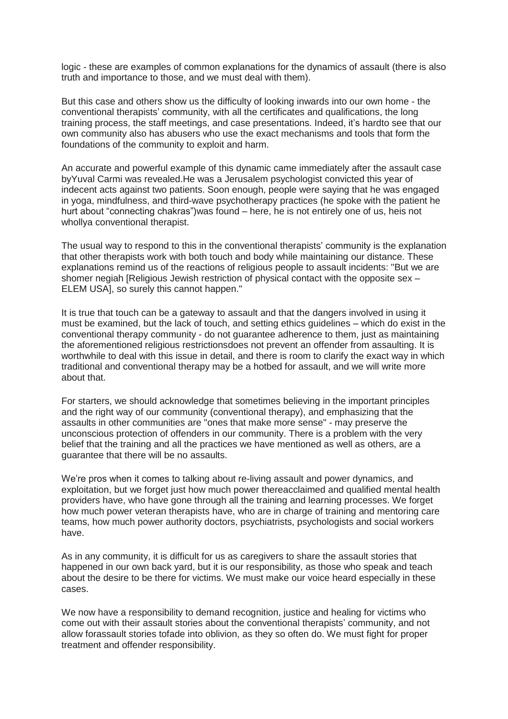logic - these are examples of common explanations for the dynamics of assault (there is also truth and importance to those, and we must deal with them).

But this case and others show us the difficulty of looking inwards into our own home - the conventional therapists' community, with all the certificates and qualifications, the long training process, the staff meetings, and case presentations. Indeed, it's hardto see that our own community also has abusers who use the exact mechanisms and tools that form the foundations of the community to exploit and harm.

An accurate and powerful example of this dynamic came immediately after the assault case byYuval Carmi was revealed.He was a Jerusalem psychologist convicted this year of indecent acts against two patients. Soon enough, people were saying that he was engaged in yoga, mindfulness, and third-wave psychotherapy practices (he spoke with the patient he hurt about "connecting chakras")was found – here, he is not entirely one of us, heis not whollya conventional therapist.

The usual way to respond to this in the conventional therapists' community is the explanation that other therapists work with both touch and body while maintaining our distance. These explanations remind us of the reactions of religious people to assault incidents: "But we are shomer negiah [Religious Jewish restriction of physical contact with the opposite sex – ELEM USA], so surely this cannot happen."

It is true that touch can be a gateway to assault and that the dangers involved in using it must be examined, but the lack of touch, and setting ethics guidelines – which do exist in the conventional therapy community - do not guarantee adherence to them, just as maintaining the aforementioned religious restrictionsdoes not prevent an offender from assaulting. It is worthwhile to deal with this issue in detail, and there is room to clarify the exact way in which traditional and conventional therapy may be a hotbed for assault, and we will write more about that.

For starters, we should acknowledge that sometimes believing in the important principles and the right way of our community (conventional therapy), and emphasizing that the assaults in other communities are "ones that make more sense" - may preserve the unconscious protection of offenders in our community. There is a problem with the very belief that the training and all the practices we have mentioned as well as others, are a guarantee that there will be no assaults.

We're pros when it comes to talking about re-living assault and power dynamics, and exploitation, but we forget just how much power thereacclaimed and qualified mental health providers have, who have gone through all the training and learning processes. We forget how much power veteran therapists have, who are in charge of training and mentoring care teams, how much power authority doctors, psychiatrists, psychologists and social workers have.

As in any community, it is difficult for us as caregivers to share the assault stories that happened in our own back yard, but it is our responsibility, as those who speak and teach about the desire to be there for victims. We must make our voice heard especially in these cases.

We now have a responsibility to demand recognition, justice and healing for victims who come out with their assault stories about the conventional therapists' community, and not allow forassault stories tofade into oblivion, as they so often do. We must fight for proper treatment and offender responsibility.